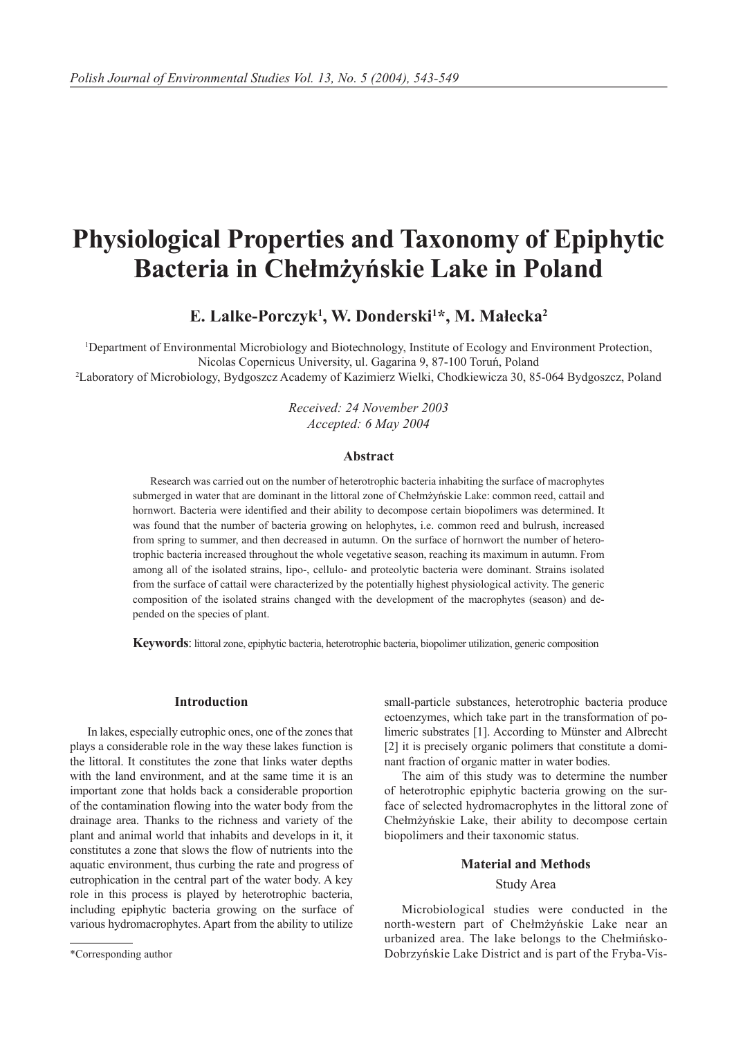# **Physiological Properties and Taxonomy of Epiphytic Bacteria in Chełmżyńskie Lake in Poland**

**E. Lalke-Porczyk1 , W. Donderski1 \*, M. Małecka2**

1 Department of Environmental Microbiology and Biotechnology, Institute of Ecology and Environment Protection, Nicolas Copernicus University, ul. Gagarina 9, 87-100 Toruń, Poland 2 Laboratory of Microbiology, Bydgoszcz Academy of Kazimierz Wielki, Chodkiewicza 30, 85-064 Bydgoszcz, Poland

> *Received: 24 November 2003 Accepted: 6 May 2004*

# **Abstract**

Research was carried out on the number of heterotrophic bacteria inhabiting the surface of macrophytes submerged in water that are dominant in the littoral zone of Chełmżyńskie Lake: common reed, cattail and hornwort. Bacteria were identified and their ability to decompose certain biopolimers was determined. It was found that the number of bacteria growing on helophytes, i.e. common reed and bulrush, increased from spring to summer, and then decreased in autumn. On the surface of hornwort the number of heterotrophic bacteria increased throughout the whole vegetative season, reaching its maximum in autumn. From among all of the isolated strains, lipo-, cellulo- and proteolytic bacteria were dominant. Strains isolated from the surface of cattail were characterized by the potentially highest physiological activity. The generic composition of the isolated strains changed with the development of the macrophytes (season) and depended on the species of plant.

**Keywords**: littoral zone, epiphytic bacteria, heterotrophic bacteria, biopolimer utilization, generic composition

# **Introduction**

In lakes, especially eutrophic ones, one of the zones that plays a considerable role in the way these lakes function is the littoral. It constitutes the zone that links water depths with the land environment, and at the same time it is an important zone that holds back a considerable proportion of the contamination flowing into the water body from the drainage area. Thanks to the richness and variety of the plant and animal world that inhabits and develops in it, it constitutes a zone that slows the flow of nutrients into the aquatic environment, thus curbing the rate and progress of eutrophication in the central part of the water body. A key role in this process is played by heterotrophic bacteria, including epiphytic bacteria growing on the surface of various hydromacrophytes. Apart from the ability to utilize small-particle substances, heterotrophic bacteria produce ectoenzymes, which take part in the transformation of polimeric substrates [1]. According to Münster and Albrecht [2] it is precisely organic polimers that constitute a dominant fraction of organic matter in water bodies.

The aim of this study was to determine the number of heterotrophic epiphytic bacteria growing on the surface of selected hydromacrophytes in the littoral zone of Chełmżyńskie Lake, their ability to decompose certain biopolimers and their taxonomic status.

# **Material and Methods**

# Study Area

Microbiological studies were conducted in the north-western part of Chełmżyńskie Lake near an urbanized area. The lake belongs to the Chełmińsko-Dobrzyńskie Lake District and is part of the Fryba-Vis-

<sup>\*</sup>Corresponding author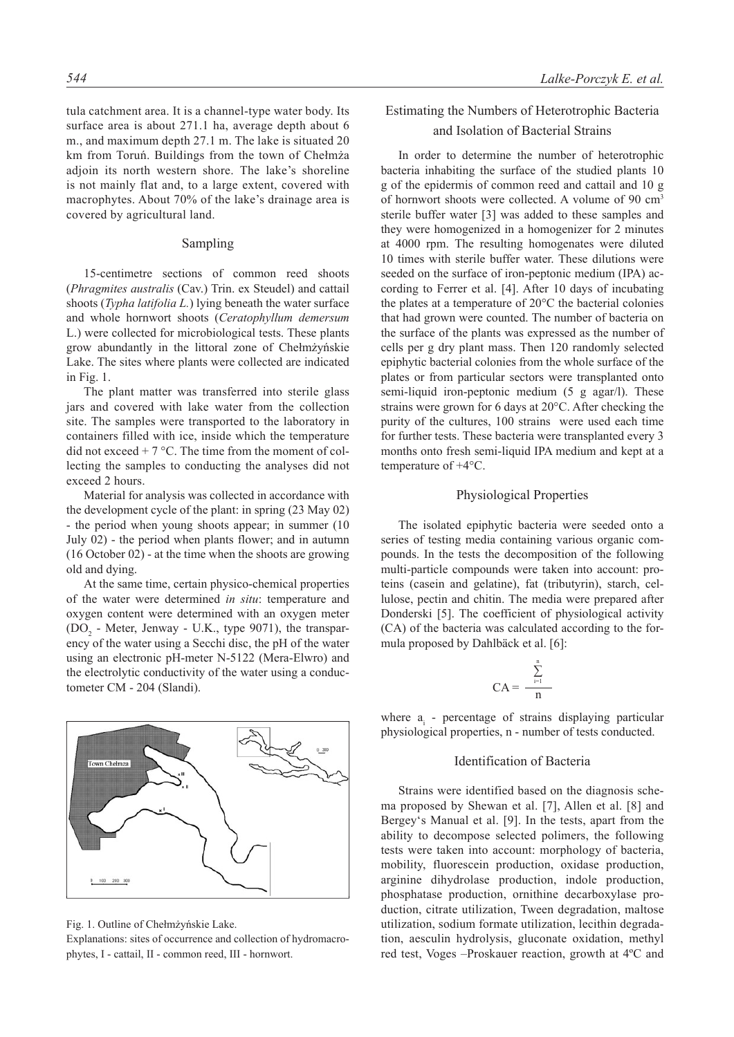tula catchment area. It is a channel-type water body. Its surface area is about 271.1 ha, average depth about 6 m., and maximum depth 27.1 m. The lake is situated 20 km from Toruń. Buildings from the town of Chełmża adjoin its north western shore. The lake's shoreline is not mainly flat and, to a large extent, covered with macrophytes. About 70% of the lake's drainage area is covered by agricultural land.

#### Sampling

15-centimetre sections of common reed shoots (*Phragmites australis* (Cav.) Trin. ex Steudel) and cattail shoots (*Typha latifolia L.*) lying beneath the water surface and whole hornwort shoots (*Ceratophyllum demersum*  L.) were collected for microbiological tests. These plants grow abundantly in the littoral zone of Chełmżyńskie Lake. The sites where plants were collected are indicated in Fig. 1.

The plant matter was transferred into sterile glass jars and covered with lake water from the collection site. The samples were transported to the laboratory in containers filled with ice, inside which the temperature did not exceed  $+7$  °C. The time from the moment of collecting the samples to conducting the analyses did not exceed 2 hours.

Material for analysis was collected in accordance with the development cycle of the plant: in spring (23 May 02) - the period when young shoots appear; in summer (10 July 02) - the period when plants flower; and in autumn (16 October 02) - at the time when the shoots are growing old and dying.

At the same time, certain physico-chemical properties of the water were determined *in situ*: temperature and oxygen content were determined with an oxygen meter  $(DO<sub>2</sub> - Meter, Jenway - U.K., type 9071),$  the transparency of the water using a Secchi disc, the pH of the water using an electronic pH-meter N-5122 (Mera-Elwro) and the electrolytic conductivity of the water using a conductometer CM - 204 (Slandi).



Fig. 1. Outline of Chełmżyńskie Lake.

Explanations: sites of occurrence and collection of hydromacrophytes, I - cattail, II - common reed, III - hornwort.

# Estimating the Numbers of Heterotrophic Bacteria and Isolation of Bacterial Strains

In order to determine the number of heterotrophic bacteria inhabiting the surface of the studied plants 10 g of the epidermis of common reed and cattail and 10 g of hornwort shoots were collected. A volume of 90 cm3 sterile buffer water [3] was added to these samples and they were homogenized in a homogenizer for 2 minutes at 4000 rpm. The resulting homogenates were diluted 10 times with sterile buffer water. These dilutions were seeded on the surface of iron-peptonic medium (IPA) according to Ferrer et al. [4]. After 10 days of incubating the plates at a temperature of 20°C the bacterial colonies that had grown were counted. The number of bacteria on the surface of the plants was expressed as the number of cells per g dry plant mass. Then 120 randomly selected epiphytic bacterial colonies from the whole surface of the plates or from particular sectors were transplanted onto semi-liquid iron-peptonic medium (5 g agar/l). These strains were grown for 6 days at 20°C. After checking the purity of the cultures, 100 strains were used each time for further tests. These bacteria were transplanted every 3 months onto fresh semi-liquid IPA medium and kept at a temperature of +4°C.

# Physiological Properties

The isolated epiphytic bacteria were seeded onto a series of testing media containing various organic compounds. In the tests the decomposition of the following multi-particle compounds were taken into account: proteins (casein and gelatine), fat (tributyrin), starch, cellulose, pectin and chitin. The media were prepared after Donderski [5]. The coefficient of physiological activity (CA) of the bacteria was calculated according to the formula proposed by Dahlbäck et al. [6]:

$$
CA = \frac{\sum_{i=1}^{n}}{n}
$$

where  $a_i$  - percentage of strains displaying particular physiological properties, n - number of tests conducted.

# Identification of Bacteria

Strains were identified based on the diagnosis schema proposed by Shewan et al. [7], Allen et al. [8] and Bergey's Manual et al. [9]. In the tests, apart from the ability to decompose selected polimers, the following tests were taken into account: morphology of bacteria, mobility, fluorescein production, oxidase production, arginine dihydrolase production, indole production, phosphatase production, ornithine decarboxylase production, citrate utilization, Tween degradation, maltose utilization, sodium formate utilization, lecithin degradation, aesculin hydrolysis, gluconate oxidation, methyl red test, Voges –Proskauer reaction, growth at 4ºC and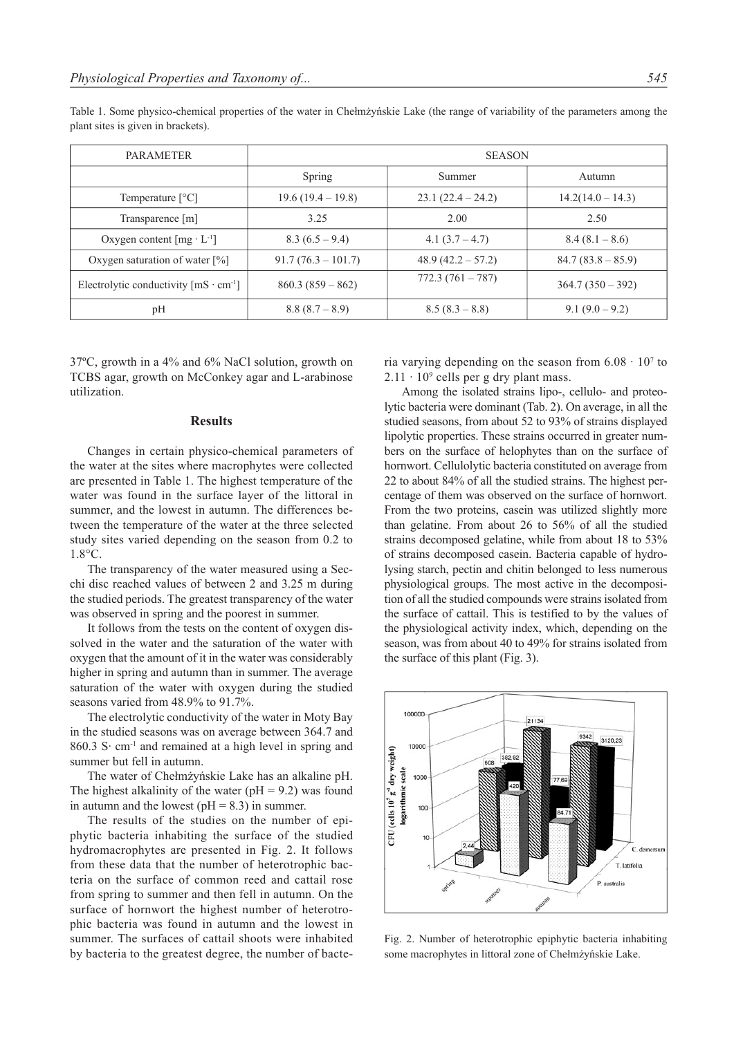|  |  | the contract of the contract of the contract of the contract of the contract of the contract of the contract of |
|--|--|-----------------------------------------------------------------------------------------------------------------|
|  |  |                                                                                                                 |
|  |  |                                                                                                                 |
|  |  |                                                                                                                 |

| <b>PARAMETER</b>                                           | <b>SEASON</b>        |                     |                     |  |  |  |
|------------------------------------------------------------|----------------------|---------------------|---------------------|--|--|--|
|                                                            | Spring               | Summer              |                     |  |  |  |
| Temperature $[^{\circ}C]$                                  | $19.6(19.4-19.8)$    | $23.1(22.4-24.2)$   | $14.2(14.0 - 14.3)$ |  |  |  |
| Transparence $[m]$                                         | 3.25                 | 2.00                | 2.50                |  |  |  |
| Oxygen content $[mg \cdot L^{-1}]$                         | $8.3(6.5-9.4)$       | $4.1(3.7 - 4.7)$    | $8.4(8.1-8.6)$      |  |  |  |
| Oxygen saturation of water $[\%]$                          | $91.7(76.3 - 101.7)$ | $48.9(42.2 - 57.2)$ | $84.7(83.8-85.9)$   |  |  |  |
| Electrolytic conductivity $\lceil mS \cdot cm^{-1} \rceil$ | $860.3 (859 - 862)$  | $772.3(761 - 787)$  | $364.7(350-392)$    |  |  |  |
| pH                                                         | $8.8(8.7-8.9)$       | $8.5(8.3-8.8)$      | $9.1(9.0-9.2)$      |  |  |  |

Table 1. Some physico-chemical properties of the water in Chełmżyńskie Lake (the range of variability of the parameters among the plant sites is given in brackets).

37ºC, growth in a 4% and 6% NaCl solution, growth on TCBS agar, growth on McConkey agar and L-arabinose utilization.

#### **Results**

Changes in certain physico-chemical parameters of the water at the sites where macrophytes were collected are presented in Table 1. The highest temperature of the water was found in the surface layer of the littoral in summer, and the lowest in autumn. The differences between the temperature of the water at the three selected study sites varied depending on the season from 0.2 to 1.8°C.

The transparency of the water measured using a Secchi disc reached values of between 2 and 3.25 m during the studied periods. The greatest transparency of the water was observed in spring and the poorest in summer.

It follows from the tests on the content of oxygen dissolved in the water and the saturation of the water with oxygen that the amount of it in the water was considerably higher in spring and autumn than in summer. The average saturation of the water with oxygen during the studied seasons varied from 48.9% to 91.7%.

The electrolytic conductivity of the water in Moty Bay in the studied seasons was on average between 364.7 and 860.3 S $\cdot$  cm<sup>-1</sup> and remained at a high level in spring and summer but fell in autumn.

The water of Chełmżyńskie Lake has an alkaline pH. The highest alkalinity of the water ( $pH = 9.2$ ) was found in autumn and the lowest ( $pH = 8.3$ ) in summer.

The results of the studies on the number of epiphytic bacteria inhabiting the surface of the studied hydromacrophytes are presented in Fig. 2. It follows from these data that the number of heterotrophic bacteria on the surface of common reed and cattail rose from spring to summer and then fell in autumn. On the surface of hornwort the highest number of heterotrophic bacteria was found in autumn and the lowest in summer. The surfaces of cattail shoots were inhabited by bacteria to the greatest degree, the number of bacteria varying depending on the season from  $6.08 \cdot 10^7$  to  $2.11 \cdot 10^9$  cells per g dry plant mass.

Among the isolated strains lipo-, cellulo- and proteolytic bacteria were dominant (Tab. 2). On average, in all the studied seasons, from about 52 to 93% of strains displayed lipolytic properties. These strains occurred in greater numbers on the surface of helophytes than on the surface of hornwort. Cellulolytic bacteria constituted on average from 22 to about 84% of all the studied strains. The highest percentage of them was observed on the surface of hornwort. From the two proteins, casein was utilized slightly more than gelatine. From about 26 to 56% of all the studied strains decomposed gelatine, while from about 18 to 53% of strains decomposed casein. Bacteria capable of hydrolysing starch, pectin and chitin belonged to less numerous physiological groups. The most active in the decomposition of all the studied compounds were strains isolated from the surface of cattail. This is testified to by the values of the physiological activity index, which, depending on the season, was from about 40 to 49% for strains isolated from the surface of this plant (Fig. 3).



Fig. 2. Number of heterotrophic epiphytic bacteria inhabiting some macrophytes in littoral zone of Chełmżyńskie Lake.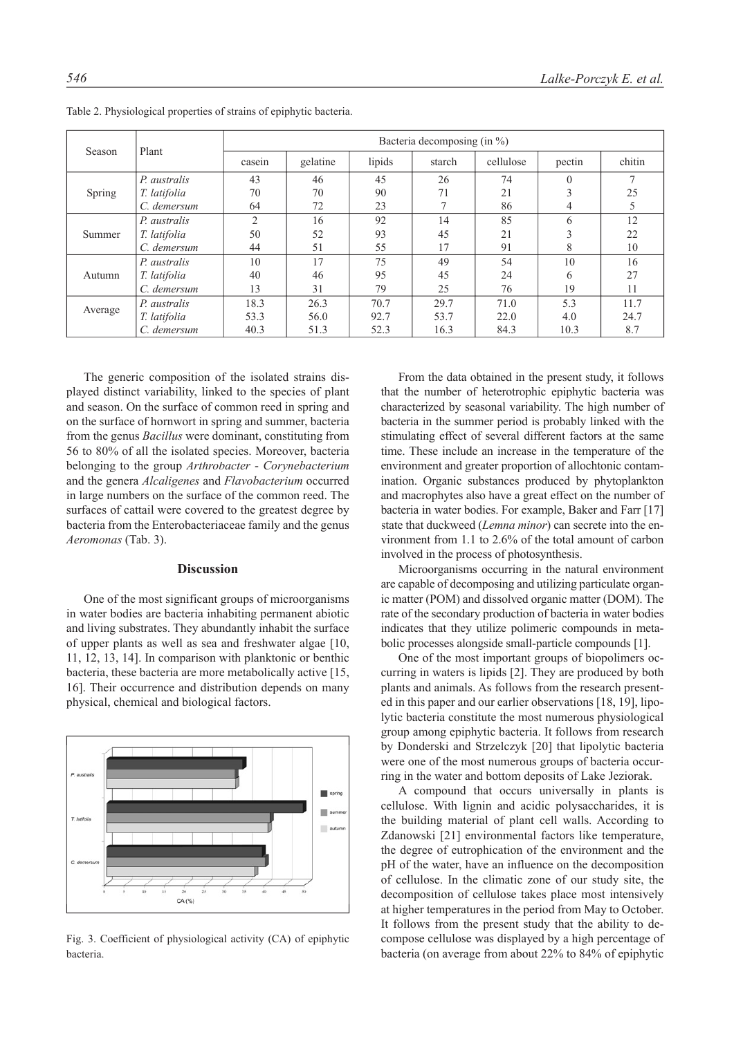| Season  |              | Bacteria decomposing (in $\%$ ) |          |        |        |           |        |        |  |
|---------|--------------|---------------------------------|----------|--------|--------|-----------|--------|--------|--|
|         | Plant        | casein                          | gelatine | lipids | starch | cellulose | pectin | chitin |  |
|         | P. australis | 43                              | 46       | 45     | 26     | 74        | 0      |        |  |
| Spring  | T. latifolia | 70                              | 70       | 90     | 71     | 21        | 3      | 25     |  |
|         | C. demersum  | 64                              | 72       | 23     |        | 86        | 4      |        |  |
| Summer  | P. australis | 2                               | 16       | 92     | 14     | 85        | 6      | 12     |  |
|         | T. latifolia | 50                              | 52       | 93     | 45     | 21        | ◠      | 22     |  |
|         | C. demersum  | 44                              | 51       | 55     | 17     | 91        | 8      | 10     |  |
|         | P. australis | 10                              | 17       | 75     | 49     | 54        | 10     | 16     |  |
| Autumn  | T. latifolia | 40                              | 46       | 95     | 45     | 24        | 6      | 27     |  |
|         | C. demersum  | 13                              | 31       | 79     | 25     | 76        | 19     | 11     |  |
| Average | P. australis | 18.3                            | 26.3     | 70.7   | 29.7   | 71.0      | 5.3    | 11.7   |  |
|         | T. latifolia | 53.3                            | 56.0     | 92.7   | 53.7   | 22.0      | 4.0    | 24.7   |  |
|         | C. demersum  | 40.3                            | 51.3     | 52.3   | 16.3   | 84.3      | 10.3   | 8.7    |  |

Table 2. Physiological properties of strains of epiphytic bacteria.

The generic composition of the isolated strains displayed distinct variability, linked to the species of plant and season. On the surface of common reed in spring and on the surface of hornwort in spring and summer, bacteria from the genus *Bacillus* were dominant, constituting from 56 to 80% of all the isolated species. Moreover, bacteria belonging to the group *Arthrobacter* - *Corynebacterium* and the genera *Alcaligenes* and *Flavobacterium* occurred in large numbers on the surface of the common reed. The surfaces of cattail were covered to the greatest degree by bacteria from the Enterobacteriaceae family and the genus *Aeromonas* (Tab. 3).

## **Discussion**

One of the most significant groups of microorganisms in water bodies are bacteria inhabiting permanent abiotic and living substrates. They abundantly inhabit the surface of upper plants as well as sea and freshwater algae [10, 11, 12, 13, 14]. In comparison with planktonic or benthic bacteria, these bacteria are more metabolically active [15, 16]. Their occurrence and distribution depends on many physical, chemical and biological factors.



Fig. 3. Coefficient of physiological activity (CA) of epiphytic bacteria.

From the data obtained in the present study, it follows that the number of heterotrophic epiphytic bacteria was characterized by seasonal variability. The high number of bacteria in the summer period is probably linked with the stimulating effect of several different factors at the same time. These include an increase in the temperature of the environment and greater proportion of allochtonic contamination. Organic substances produced by phytoplankton and macrophytes also have a great effect on the number of bacteria in water bodies. For example, Baker and Farr [17] state that duckweed (*Lemna minor*) can secrete into the environment from 1.1 to 2.6% of the total amount of carbon involved in the process of photosynthesis.

Microorganisms occurring in the natural environment are capable of decomposing and utilizing particulate organic matter (POM) and dissolved organic matter (DOM). The rate of the secondary production of bacteria in water bodies indicates that they utilize polimeric compounds in metabolic processes alongside small-particle compounds [1].

One of the most important groups of biopolimers occurring in waters is lipids [2]. They are produced by both plants and animals. As follows from the research presented in this paper and our earlier observations [18, 19], lipolytic bacteria constitute the most numerous physiological group among epiphytic bacteria. It follows from research by Donderski and Strzelczyk [20] that lipolytic bacteria were one of the most numerous groups of bacteria occurring in the water and bottom deposits of Lake Jeziorak.

A compound that occurs universally in plants is cellulose. With lignin and acidic polysaccharides, it is the building material of plant cell walls. According to Zdanowski [21] environmental factors like temperature, the degree of eutrophication of the environment and the pH of the water, have an influence on the decomposition of cellulose. In the climatic zone of our study site, the decomposition of cellulose takes place most intensively at higher temperatures in the period from May to October. It follows from the present study that the ability to decompose cellulose was displayed by a high percentage of bacteria (on average from about 22% to 84% of epiphytic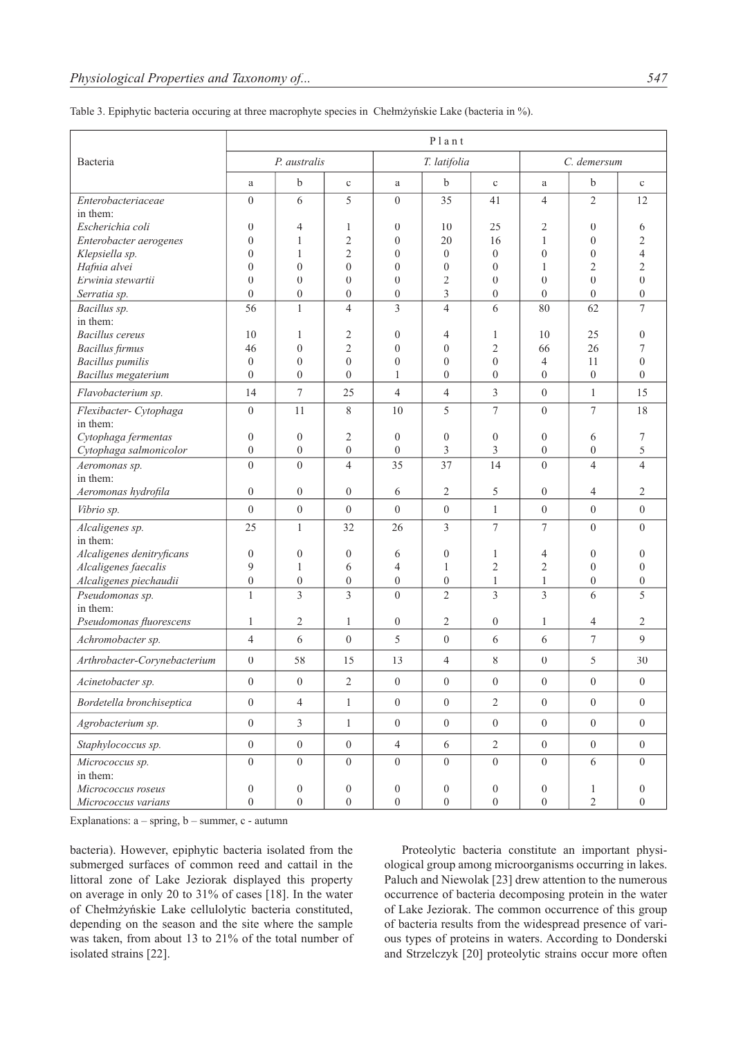|  |  |  |  |  | Table 3. Epiphytic bacteria occuring at three macrophyte species in Chełmzyńskie Lake (bacteria in %). |  |
|--|--|--|--|--|--------------------------------------------------------------------------------------------------------|--|
|--|--|--|--|--|--------------------------------------------------------------------------------------------------------|--|

|                                    | Plant            |                  |                  |                  |                  |                  |                  |                  |                  |
|------------------------------------|------------------|------------------|------------------|------------------|------------------|------------------|------------------|------------------|------------------|
| Bacteria                           | P. australis     |                  |                  | T. latifolia     |                  |                  | C. demersum      |                  |                  |
|                                    | a                | b                | $\mathbf c$      | a                | $\mathbf b$      | $\mathbf{C}$     | a                | b                | $\mathbf c$      |
| Enterobacteriaceae                 | $\theta$         | 6                | 5                | $\overline{0}$   | 35               | 41               | $\overline{4}$   | $\overline{2}$   | 12               |
| in them:                           |                  |                  |                  |                  |                  |                  |                  |                  |                  |
| Escherichia coli                   | $\theta$         | 4                | 1                | $\boldsymbol{0}$ | 10               | 25               | 2                | $\mathbf{0}$     | 6                |
| Enterobacter aerogenes             | $\theta$         | 1                | $\overline{c}$   | $\mathbf{0}$     | 20               | 16               | 1                | $\mathbf{0}$     | $\overline{c}$   |
| Klepsiella sp.                     | $\mathbf{0}$     | 1                | $\overline{c}$   | $\mathbf{0}$     | $\boldsymbol{0}$ | $\theta$         | $\overline{0}$   | $\boldsymbol{0}$ | $\overline{4}$   |
| Hafnia alvei                       | $\theta$         | $\overline{0}$   | $\theta$         | $\theta$         | $\theta$         | $\theta$         | 1                | $\overline{2}$   | $\overline{2}$   |
| Erwinia stewartii                  | $\theta$         | $\theta$         | $\theta$         | $\mathbf{0}$     | $\mathfrak{2}$   | $\theta$         | $\theta$         | $\overline{0}$   | $\boldsymbol{0}$ |
| Serratia sp.                       | $\theta$         | $\mathbf{0}$     | $\overline{0}$   | $\mathbf{0}$     | 3                | $\mathbf{0}$     | $\theta$         | $\theta$         | $\boldsymbol{0}$ |
| Bacillus sp.                       | 56               | $\mathbf{1}$     | $\overline{4}$   | $\overline{3}$   | $\overline{4}$   | 6                | 80               | 62               | $\overline{7}$   |
| in them:                           |                  |                  |                  |                  |                  |                  |                  |                  |                  |
| <b>Bacillus</b> cereus             | 10               | 1                | $\overline{c}$   | $\boldsymbol{0}$ | 4                | $\mathbf{1}$     | 10               | 25               | $\theta$         |
| <b>Bacillus</b> firmus             | 46               | $\theta$         | $\overline{2}$   | $\theta$         | $\theta$         | $\overline{2}$   | 66               | 26               | 7                |
| <b>Bacillus</b> pumilis            | $\theta$         | $\mathbf{0}$     | $\theta$         | $\mathbf{0}$     | $\theta$         | $\overline{0}$   | $\overline{4}$   | 11               | $\overline{0}$   |
| Bacillus megaterium                | $\mathbf{0}$     | $\mathbf{0}$     | $\theta$         | $\mathbf{1}$     | $\theta$         | $\theta$         | $\theta$         | $\theta$         | $\Omega$         |
| Flavobacterium sp.                 | 14               | $\tau$           | 25               | $\overline{4}$   | $\overline{4}$   | 3                | $\theta$         | $\mathbf{1}$     | 15               |
| Flexibacter- Cytophaga<br>in them: | $\mathbf{0}$     | 11               | $\,8\,$          | 10               | 5                | $\boldsymbol{7}$ | $\theta$         | 7                | 18               |
| Cytophaga fermentas                | $\theta$         | $\mathbf{0}$     | $\overline{c}$   | $\mathbf{0}$     | $\boldsymbol{0}$ | $\mathbf{0}$     | $\theta$         | 6                | 7                |
| Cytophaga salmonicolor             | $\boldsymbol{0}$ | $\boldsymbol{0}$ | $\overline{0}$   | $\overline{0}$   | 3                | 3                | $\theta$         | $\boldsymbol{0}$ | 5                |
|                                    |                  |                  |                  |                  |                  |                  | $\theta$         | $\overline{4}$   |                  |
| Aeromonas sp.                      | $\boldsymbol{0}$ | $\overline{0}$   | $\overline{4}$   | 35               | 37               | 14               |                  |                  | $\overline{4}$   |
| in them:                           |                  |                  |                  |                  |                  |                  |                  |                  |                  |
| Aeromonas hydrofila                | $\theta$         | $\mathbf{0}$     | $\overline{0}$   | 6                | $\mathfrak{2}$   | 5                | $\theta$         | 4                | 2                |
| Vibrio sp.                         | $\boldsymbol{0}$ | $\overline{0}$   | $\boldsymbol{0}$ | $\boldsymbol{0}$ | $\boldsymbol{0}$ | $\mathbf{1}$     | $\theta$         | $\theta$         | $\theta$         |
| Alcaligenes sp.                    | 25               | $\mathbf{1}$     | 32               | 26               | 3                | 7                | 7                | $\theta$         | $\boldsymbol{0}$ |
| in them:                           |                  |                  |                  |                  |                  |                  |                  |                  |                  |
| Alcaligenes denitryficans          | $\boldsymbol{0}$ | $\boldsymbol{0}$ | $\boldsymbol{0}$ | 6                | $\boldsymbol{0}$ | $\mathbf{1}$     | 4                | $\boldsymbol{0}$ | $\mathbf{0}$     |
| Alcaligenes faecalis               | $\mathbf Q$      | 1                | 6                | $\overline{4}$   | $\mathbf{1}$     | $\overline{2}$   | 2                | $\mathbf{0}$     | $\theta$         |
| Alcaligenes piechaudii             | $\theta$         | $\boldsymbol{0}$ | $\overline{0}$   | $\mathbf{0}$     | $\boldsymbol{0}$ | 1                | 1                | $\theta$         | $\boldsymbol{0}$ |
| Pseudomonas sp.<br>in them:        | $\mathbf{1}$     | $\overline{3}$   | $\overline{3}$   | $\theta$         | $\overline{2}$   | $\overline{3}$   | $\overline{3}$   | 6                | $\overline{5}$   |
| Pseudomonas fluorescens            | 1                | $\overline{c}$   | $\mathbf{1}$     | $\boldsymbol{0}$ | $\mathfrak{2}$   | $\boldsymbol{0}$ | 1                | $\overline{4}$   | $\overline{c}$   |
| Achromobacter sp.                  | $\overline{4}$   | 6                | $\boldsymbol{0}$ | 5                | $\boldsymbol{0}$ | 6                | 6                | $\overline{7}$   | 9                |
| Arthrobacter-Corynebacterium       | $\boldsymbol{0}$ | 58               | 15               | 13               | $\overline{4}$   | 8                | $\mathbf{0}$     | 5                | 30               |
| Acinetobacter sp.                  | $\boldsymbol{0}$ | $\boldsymbol{0}$ | $\sqrt{2}$       | $\boldsymbol{0}$ | $\boldsymbol{0}$ | $\boldsymbol{0}$ | $\boldsymbol{0}$ | $\boldsymbol{0}$ | $\boldsymbol{0}$ |
| Bordetella bronchiseptica          | $\boldsymbol{0}$ | $\overline{4}$   | $\mathbf{1}$     | $\boldsymbol{0}$ | $\boldsymbol{0}$ | $\overline{2}$   | $\boldsymbol{0}$ | $\boldsymbol{0}$ | $\boldsymbol{0}$ |
| Agrobacterium sp.                  | $\boldsymbol{0}$ | $\overline{3}$   | $\mathbf{1}$     | $\boldsymbol{0}$ | $\boldsymbol{0}$ | $\boldsymbol{0}$ | $\boldsymbol{0}$ | $\boldsymbol{0}$ | $\overline{0}$   |
| Staphylococcus sp.                 | $\boldsymbol{0}$ | $\boldsymbol{0}$ | $\boldsymbol{0}$ | $\overline{4}$   | $\sqrt{6}$       | $\overline{c}$   | $\boldsymbol{0}$ | $\boldsymbol{0}$ | $\overline{0}$   |
| Micrococcus sp.                    | $\boldsymbol{0}$ | $\boldsymbol{0}$ | $\mathbf{0}$     | $\boldsymbol{0}$ | $\boldsymbol{0}$ | $\overline{0}$   | $\overline{0}$   | 6                | $\overline{0}$   |
| in them:                           |                  |                  |                  |                  |                  |                  |                  |                  |                  |
| Micrococcus roseus                 | $\boldsymbol{0}$ | $\bf{0}$         | $\boldsymbol{0}$ | $\boldsymbol{0}$ | $\boldsymbol{0}$ | $\boldsymbol{0}$ | $\boldsymbol{0}$ | $\mathbf{1}$     | $\mathbf{0}$     |
| Micrococcus varians                | $\boldsymbol{0}$ | $\boldsymbol{0}$ | $\boldsymbol{0}$ | $\boldsymbol{0}$ | $\boldsymbol{0}$ | $\boldsymbol{0}$ | $\boldsymbol{0}$ | $\sqrt{2}$       | $\boldsymbol{0}$ |

Explanations: a – spring, b – summer, c - autumn

bacteria). However, epiphytic bacteria isolated from the submerged surfaces of common reed and cattail in the littoral zone of Lake Jeziorak displayed this property on average in only 20 to 31% of cases [18]. In the water of Chełmżyńskie Lake cellulolytic bacteria constituted, depending on the season and the site where the sample was taken, from about 13 to 21% of the total number of isolated strains [22].

Proteolytic bacteria constitute an important physiological group among microorganisms occurring in lakes. Paluch and Niewolak [23] drew attention to the numerous occurrence of bacteria decomposing protein in the water of Lake Jeziorak. The common occurrence of this group of bacteria results from the widespread presence of various types of proteins in waters. According to Donderski and Strzelczyk [20] proteolytic strains occur more often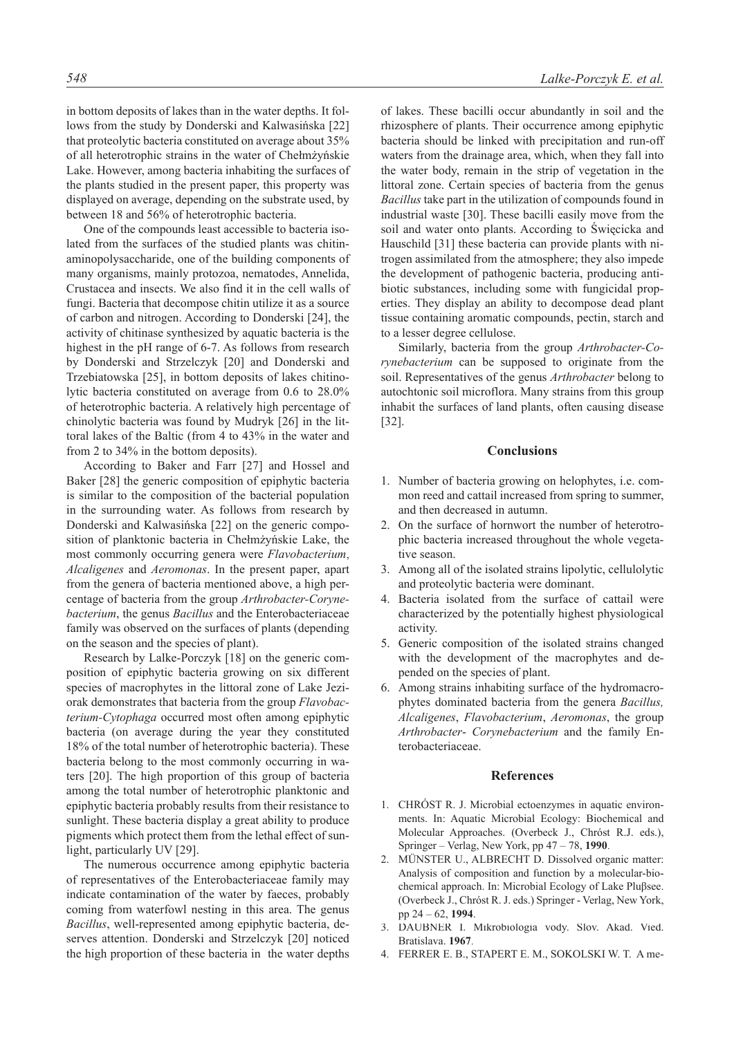in bottom deposits of lakes than in the water depths. It follows from the study by Donderski and Kalwasińska [22] that proteolytic bacteria constituted on average about 35% of all heterotrophic strains in the water of Chełmżyńskie Lake. However, among bacteria inhabiting the surfaces of the plants studied in the present paper, this property was displayed on average, depending on the substrate used, by between 18 and 56% of heterotrophic bacteria.

One of the compounds least accessible to bacteria isolated from the surfaces of the studied plants was chitinaminopolysaccharide, one of the building components of many organisms, mainly protozoa, nematodes, Annelida, Crustacea and insects. We also find it in the cell walls of fungi. Bacteria that decompose chitin utilize it as a source of carbon and nitrogen. According to Donderski [24], the activity of chitinase synthesized by aquatic bacteria is the highest in the pH range of 6-7. As follows from research by Donderski and Strzelczyk [20] and Donderski and Trzebiatowska [25], in bottom deposits of lakes chitinolytic bacteria constituted on average from 0.6 to 28.0% of heterotrophic bacteria. A relatively high percentage of chinolytic bacteria was found by Mudryk [26] in the littoral lakes of the Baltic (from 4 to 43% in the water and from 2 to 34% in the bottom deposits).

According to Baker and Farr [27] and Hossel and Baker [28] the generic composition of epiphytic bacteria is similar to the composition of the bacterial population in the surrounding water. As follows from research by Donderski and Kalwasińska [22] on the generic composition of planktonic bacteria in Chełmżyńskie Lake, the most commonly occurring genera were *Flavobacterium*, *Alcaligenes* and *Aeromonas*. In the present paper, apart from the genera of bacteria mentioned above, a high percentage of bacteria from the group *Arthrobacter-Corynebacterium*, the genus *Bacillus* and the Enterobacteriaceae family was observed on the surfaces of plants (depending on the season and the species of plant).

Research by Lalke-Porczyk [18] on the generic composition of epiphytic bacteria growing on six different species of macrophytes in the littoral zone of Lake Jeziorak demonstrates that bacteria from the group *Flavobacterium-Cytophaga* occurred most often among epiphytic bacteria (on average during the year they constituted 18% of the total number of heterotrophic bacteria). These bacteria belong to the most commonly occurring in waters [20]. The high proportion of this group of bacteria among the total number of heterotrophic planktonic and epiphytic bacteria probably results from their resistance to sunlight. These bacteria display a great ability to produce pigments which protect them from the lethal effect of sunlight, particularly UV [29].

The numerous occurrence among epiphytic bacteria of representatives of the Enterobacteriaceae family may indicate contamination of the water by faeces, probably coming from waterfowl nesting in this area. The genus *Bacillus*, well-represented among epiphytic bacteria, deserves attention. Donderski and Strzelczyk [20] noticed the high proportion of these bacteria in the water depths of lakes. These bacilli occur abundantly in soil and the rhizosphere of plants. Their occurrence among epiphytic bacteria should be linked with precipitation and run-off waters from the drainage area, which, when they fall into the water body, remain in the strip of vegetation in the littoral zone. Certain species of bacteria from the genus *Bacillus* take part in the utilization of compounds found in industrial waste [30]. These bacilli easily move from the soil and water onto plants. According to Święcicka and Hauschild [31] these bacteria can provide plants with nitrogen assimilated from the atmosphere; they also impede the development of pathogenic bacteria, producing antibiotic substances, including some with fungicidal properties. They display an ability to decompose dead plant tissue containing aromatic compounds, pectin, starch and to a lesser degree cellulose.

Similarly, bacteria from the group *Arthrobacter-Corynebacterium* can be supposed to originate from the soil. Representatives of the genus *Arthrobacter* belong to autochtonic soil microflora. Many strains from this group inhabit the surfaces of land plants, often causing disease [32].

# **Conclusions**

- 1. Number of bacteria growing on helophytes, i.e. common reed and cattail increased from spring to summer, and then decreased in autumn.
- 2. On the surface of hornwort the number of heterotrophic bacteria increased throughout the whole vegetative season.
- 3. Among all of the isolated strains lipolytic, cellulolytic and proteolytic bacteria were dominant.
- 4. Bacteria isolated from the surface of cattail were characterized by the potentially highest physiological activity.
- 5. Generic composition of the isolated strains changed with the development of the macrophytes and depended on the species of plant.
- 6. Among strains inhabiting surface of the hydromacrophytes dominated bacteria from the genera *Bacillus, Alcaligenes*, *Flavobacterium*, *Aeromonas*, the group *Arthrobacter*- *Corynebacterium* and the family Enterobacteriaceae.

# **References**

- 1. CHRÓST R. J. Microbial ectoenzymes in aquatic environments. In: Aquatic Microbial Ecology: Biochemical and Molecular Approaches. (Overbeck J., Chróst R.J. eds.), Springer – Verlag, New York, pp 47 – 78, **1990**.
- 2. MÜNSTER U., ALBRECHT D. Dissolved organic matter: Analysis of composition and function by a molecular-biochemical approach. In: Microbial Ecology of Lake Pluβsee. (Overbeck J., Chróst R. J. eds.) Springer - Verlag, New York, pp 24 – 62, **1994**.
- 3. DAUBNER I. Mikrobiologia vody. Slov. Akad. Vied. Bratislava. **1967**.
- 4. FERRER E. B., STAPERT E. M., SOKOLSKI W. T. A me-